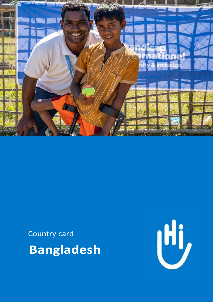

Country card **Bangladesh** 

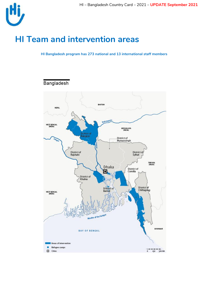

## **HI Team and intervention areas**

**HI Bangladesh program has 273 national and 13 international staff members** 



Bangladesh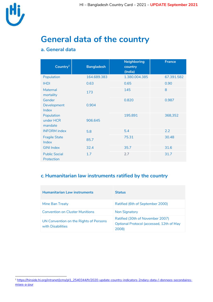

l

# **General data of the country**

### **a. General data**

| Country <sup>1</sup>               | <b>Bangladesh</b> | <b>Neighboring</b><br>country<br>(India) | <b>France</b> |
|------------------------------------|-------------------|------------------------------------------|---------------|
| Population                         | 164.689.383       | 1.380.004.385                            | 67.391.582    |
| <b>IHDI</b>                        | 0.63              | 0.65                                     | 0.90          |
| <b>Maternal</b><br>mortality       | 173               | 145                                      | 8             |
| Gender                             |                   | 0.820                                    | 0.987         |
| Development<br>Index               | 0.904             |                                          |               |
| Population                         |                   | 195.891                                  | 368,352       |
| under HCR<br>mandate               | 906.645           |                                          |               |
| <b>INFORM</b> index                | 5.8               | 5.4                                      | 2.2           |
| <b>Fragile State</b><br>Index      | 85.7              | 75.31                                    | 30.48         |
| <b>GINI Index</b>                  | 32.4              | 35.7                                     | 31.6          |
| <b>Public Social</b><br>Protection | 1.7               | 2.7                                      | 31.7          |

## **c. Humanitarian law instruments ratified by the country**

| <b>Humanitarian Law instruments</b>                         | <b>Status</b>                                                                         |
|-------------------------------------------------------------|---------------------------------------------------------------------------------------|
| Mine Ban Treaty                                             | Ratified (6th of September 2000)                                                      |
| <b>Convention on Cluster Munitions</b>                      | <b>Non Signatory</b>                                                                  |
| UN Convention on the Rights of Persons<br>with Disabilities | Ratified (30th of November 2007)<br>Optional Protocol (accessed, 12th of May<br>2008) |

<sup>1</sup> [https://hinside.hi.org/intranet/jcms/pl1\\_2540344/fr/2020-update-country-indicators-2ndary-data-/-donnees-secondaires](https://hinside.hi.org/intranet/jcms/pl1_2540344/fr/2020-update-country-indicators-2ndary-data-/-donnees-secondaires-mises-a-jour)[mises-a-jour](https://hinside.hi.org/intranet/jcms/pl1_2540344/fr/2020-update-country-indicators-2ndary-data-/-donnees-secondaires-mises-a-jour)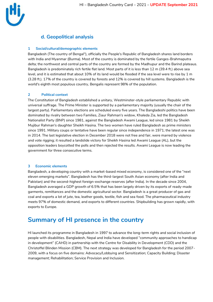### **d. Geopolitical analysis**

#### **1 Social/cultural/demographic elements**

Bangladesh (The country of Bengal"), officially the People's Republic of Bangladesh shares land borders with [India](https://en.wikipedia.org/wiki/India) [a](https://en.wikipedia.org/wiki/India)nd [Myanmar](https://en.wikipedia.org/wiki/Myanmar) [\(](https://en.wikipedia.org/wiki/Myanmar)Burma). Most of the country is dominated by the fertile [Ganges-Brahmaputra](https://en.wikipedia.org/wiki/Ganges-Brahmaputra_delta)  [delta;](https://en.wikipedia.org/wiki/Ganges-Brahmaputra_delta) the northwest and central parts of the country are formed by the [Madhupur](https://en.wikipedia.org/wiki/Madhupur_tract) and the [Barind](https://en.wikipedia.org/wiki/Barind_Tract) plateaus. Bangladesh is predominately rich fertile flat land. Most parts of it is less than 12 m (39.4 ft.) above sea level, and it is estimated that about 10% of its land would be flooded if the sea level were to rise by 1 m (3.28 ft.). 17% of the country is covered by forests and 12% is covered by hill systems. Bangladesh is the world's [eighth most populous country,](https://en.wikipedia.org/wiki/List_of_countries_and_dependencies_by_population) [Bengalis](https://en.wikipedia.org/wiki/Bengali_people) represent 98% of the population.

#### **2 Political context**

The [Constitution of Bangladesh](https://en.wikipedia.org/wiki/Constitution_of_Bangladesh) established a [unitary,](https://en.wikipedia.org/wiki/Unitary_state) [Westminster-s](https://en.wikipedia.org/wiki/Westminster)tyle [parliamentary Republic](https://en.wikipedia.org/wiki/Parliamentary_republic) with [universal suffrage.](https://en.wikipedia.org/wiki/Universal_suffrage) The Prime Minister is supported by a parliamentary majority (usually the chair of the largest party). Parliamentary [elections](https://en.wikipedia.org/wiki/Elections_in_Bangladesh) are scheduled every five years. The Bangladeshi politics have been dominated by rivalry between two Families, [Ziaur Rahman's](https://en.wikipedia.org/wiki/Ziaur_Rahman) widow, [Khaleda Zia,](https://en.wikipedia.org/wiki/Khaleda_Zia) led the Bangladesh Nationalist Party (BNP) since 1981, against the Bangladesh Awami League, led since 1981 [by Sheikh](https://en.wikipedia.org/wiki/Sheikh_Mujibur_Rahman)  [Mujibur Rahman's](https://en.wikipedia.org/wiki/Sheikh_Mujibur_Rahman) daughter [Sheikh Hasina.](https://en.wikipedia.org/wiki/Sheikh_Hasina) The two women have ruled Bangladesh as prime ministers since 1991. Military coups or tentative have been regular since independence in 1971; the latest one was in 2014. The last legislative election in December 2018 were not free and fair, were marred by violence and vote rigging; it resulted a landslide victory for Sheikh Hasina led Awami League (AL), but the opposition leaders [boycotted](https://en.wikipedia.org/wiki/Election_boycott) the polls and then rejected the results. Awami League is now leading the government for three consecutive terms.

#### **3 Economic elements**

Bangladesh, a developing country with a market-based mixed economy, is considered one of the "next eleven emerging markets". Bangladesh has the third-largest South Asian economy (after India and Pakistan) and the second-highest foreign-exchange reserves (after India). In the decade since 2004, Bangladesh averaged a GDP growth of 6.5% that has been largely driven by its exports of [ready-made](https://en.wikipedia.org/wiki/Bangladeshi_RMG_Sector)  [garments,](https://en.wikipedia.org/wiki/Bangladeshi_RMG_Sector) [remittances](https://en.wikipedia.org/wiki/Remittance_to_Bangladesh) [a](https://en.wikipedia.org/wiki/Remittance_to_Bangladesh)nd the domestic [agricultural sector.](https://en.wikipedia.org/wiki/Agriculture_in_Bangladesh) Bangladesh is a great producer of gas and coal and exports a lot of jute, tea, leather goods, textile, fish and sea food. The pharmaceutical industry meets 97% of domestic demand, and exports to different countries. Shipbuilding has grown rapidly, with exports to Europe.

## **Summary of HI presence in the country**

HI launched its programme in Bangladesh in 1997 to advance the long-term rights and social inclusion of people with disabilities. Bangladesh, Nepal and India have developed "community approaches to handicap in development" (CAHD) in partnership with the Centre for Disability in Development (CDD) and the Christoffel Blinden Mission (CBM). The next strategy was developed for Bangladesh for the period 2007- 2009, with a focus on five domains: Advocacy/Lobbying and Sensitization; Capacity Building; Disaster management; Rehabilitation; Service Provision and Inclusion.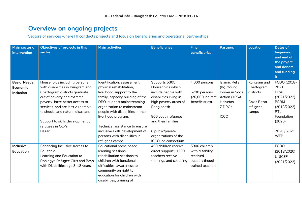## **Overview on ongoing projects**

Sectors of services where HI conducts projects and focus on beneficiaries and operational partnerships

| Main sector of<br>intervention | Objectives of projects in this<br>sector | <b>Main activities</b>            | <b>Beneficiaries</b>   | <b>Final</b><br><b>beneficiaries</b> | <b>Partners</b>       | <b>Location</b> | <b>Dates of</b><br>beginning<br>and end of<br>the project<br>and donors<br>and funding<br>it |
|--------------------------------|------------------------------------------|-----------------------------------|------------------------|--------------------------------------|-----------------------|-----------------|----------------------------------------------------------------------------------------------|
| Basic Needs,                   | Households including persons             | Identification, assessment,       | Supports 5305          | 4.000 persons                        | <b>Islamic Relief</b> | Kurigram and    | FCDO (2018-                                                                                  |
| Economic                       | with disabilities in Kurigram and        | physical rehabilitation,          | Households which       |                                      | (IR), Young           | Chattogram      | 2021                                                                                         |
| <b>Inclusion</b>               | Chattogram districts graduate            | livelihood support to the         | include people with    | 5790 persons                         | Power in Social       | districts       | <b>BRAC</b>                                                                                  |
|                                | out of poverty and extreme               | family, capacity building of the  | disabilities living in | (20,000 indirect                     | Action (YPSA),        |                 | (2021/2022)                                                                                  |
|                                | poverty, have better access to           | DPO, support mainstreaming        | high poverty areas of  | beneficiaries).                      | Helvetas              | Cox's Bazar     | <b>BSRM</b>                                                                                  |
|                                | services, and are less vulnerable        | organization to mainstream        | Bangladesh             |                                      | 7 DPOs                | refugees        | (2018/2022)                                                                                  |
|                                | to shocks and natural disasters          | people with disabilities in their |                        |                                      |                       | camps           | <b>RTL</b>                                                                                   |
|                                |                                          | livelihood program.               | 800 youth refugees     |                                      | <b>ICCO</b>           |                 | Foundation                                                                                   |
|                                | Support to skills development of         |                                   | and their families     |                                      |                       |                 | (2020)                                                                                       |
|                                | refugees in Cox's                        | Technical assistance to ensure    |                        |                                      |                       |                 |                                                                                              |
|                                | Bazar                                    | inclusive skills development of   | 6 public/private       |                                      |                       |                 | 2020 / 2021                                                                                  |
|                                |                                          | persons with disabilities in      | organizations of the   |                                      |                       |                 | <b>WFP</b>                                                                                   |
|                                |                                          | refugees camps                    | ICCO led consortium    |                                      |                       |                 |                                                                                              |
| <b>Inclusive</b>               | <b>Enhancing Inclusive Access to</b>     | Educational home based            | 400 children receive   | 5900 children                        |                       |                 | <b>FCDO</b>                                                                                  |
| <b>Education</b>               | Equitable                                | learning sessions,                | direct support; 1200   | with disability                      |                       |                 | (2018/2020)                                                                                  |
|                                | Learning and Education to                | rehabilitation sessions to        | teachers receive       | received                             |                       |                 | <b>UNICEF</b>                                                                                |
|                                | Rohingya Refugee Girls and Boys          | children with functional          | trainings and coaching | support though                       |                       |                 | (2021/2022)                                                                                  |
|                                | with Disabilities age 3-18 years         | difficulties; awareness to        |                        | trained teachers                     |                       |                 |                                                                                              |
|                                |                                          | community on right to             |                        |                                      |                       |                 |                                                                                              |
|                                |                                          | education for children with       |                        |                                      |                       |                 |                                                                                              |
|                                |                                          | disabilities; training of         |                        |                                      |                       |                 |                                                                                              |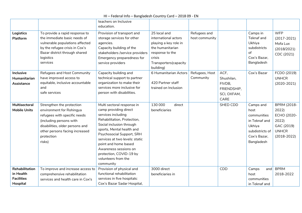|                                                              |                                                                                                                                                                                                               | teachers on Inclusive                                                                                                                                                                                                                                                                                                                            |                                                                                                                                                       |                                |                                                                    |                                                                                                              |                                                                                               |
|--------------------------------------------------------------|---------------------------------------------------------------------------------------------------------------------------------------------------------------------------------------------------------------|--------------------------------------------------------------------------------------------------------------------------------------------------------------------------------------------------------------------------------------------------------------------------------------------------------------------------------------------------|-------------------------------------------------------------------------------------------------------------------------------------------------------|--------------------------------|--------------------------------------------------------------------|--------------------------------------------------------------------------------------------------------------|-----------------------------------------------------------------------------------------------|
|                                                              |                                                                                                                                                                                                               | education.                                                                                                                                                                                                                                                                                                                                       |                                                                                                                                                       |                                |                                                                    |                                                                                                              |                                                                                               |
| <b>Logistics</b><br>Platform                                 | To provide a rapid response to<br>the immediate basic needs of<br>vulnerable populations affected<br>by the refugee crisis in Cox's<br>Bazar district through shared<br>logistics<br>services                 | Provision of transport and<br>storage services for other<br>agencies.<br>Capacity building of the<br>stakeholders /service providers<br>Emergency preparedness for<br>service providers                                                                                                                                                          | 25 local and<br>international actors<br>playing a key role in<br>the humanitarian<br>response to the<br>crisis<br>Transporters (capacity<br>building) | Refugees and<br>host community |                                                                    | Camps in<br>Teknaf and<br>Ukhiya<br>subdistricts<br>of<br>Cox's Bazar,<br>Bangladesh                         | <b>WFP</b><br>$(2017 - 2021)$<br>Mofa Lux<br>(2018/2021)<br>CDC (2021)                        |
| <b>Inclusive</b><br>Humanitarian<br>Assistance               | Refugees and Host Community<br>have improved access to<br>equitable, inclusive accountable<br>and<br>safe services                                                                                            | Capacity building and<br>technical support to partner<br>organization to make their<br>services more inclusive for<br>person with disabilities.                                                                                                                                                                                                  | 6 Humanitarian Actors<br>420 Partner staff<br>trained on Inclusion                                                                                    | Refugees, Host<br>Community    | ACF,<br>Shushilan,<br>FIVDB,<br>FRIENDSHIP,<br>SCI, OXFAM,<br>CARE | Cox's Bazar                                                                                                  | FCDO (2019)<br><b>UNHCR</b><br>$(2020 - 2021)$                                                |
| Multisectoral<br><b>Mobile Units</b>                         | Strengthen the protection<br>environment for Rohingya<br>refugees with specific needs<br>(including persons with<br>disabilities, older persons and<br>other persons facing increased<br>protection<br>risks) | Multi sectoral response in<br>camp providing direct<br>services including<br>Rehabilitation, Protection,<br>Social inclusion through<br>sports, Mental health and<br>Psychosocial Support, SRH<br>services at two levels: static<br>point and home based<br>Awareness sessions on<br>protection, COVID-19 by<br>volunteers from the<br>community | 130 000<br>direct<br>beneficiaries                                                                                                                    |                                | SHED CDD                                                           | Camps and<br>host<br>communities<br>in Teknaf and<br>Ukhiya<br>subdistricts of<br>Cox's Bazar,<br>Bangladesh | BPRM (2018-<br>2022)<br>ECHO (2020-<br>2022)<br>GAC (2019)<br><b>UNHCR</b><br>$(2018 - 2022)$ |
| Rehabilitation<br>in Health<br><b>Facilities</b><br>Hospital | To improve and increase access to<br>comprehensive rehabilitation<br>services and health care in Cox's                                                                                                        | Provision of physical and<br>functional rehabilitation<br>services in five hospitals:<br>Cox's Bazar Sadar Hospital,                                                                                                                                                                                                                             | 3000 direct<br>beneficiaries in                                                                                                                       |                                | CDD                                                                | Camps<br>and<br>host<br>communities<br>in Teknaf and                                                         | <b>BPRM</b><br>2018-2022                                                                      |

HI – Federal Info – Bangladesh Country Card – 2018 09 - EN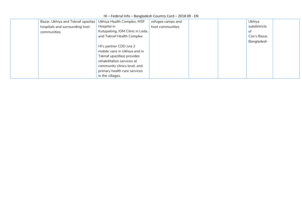#### HI – Federal Info – Bangladesh Country Card – 2018 09 - EN

| Bazar, Ukhiya and Teknaf upazilas | Ukhiya Health Complex, MSF      | refugee camps and |  | Ukhiya       |  |
|-----------------------------------|---------------------------------|-------------------|--|--------------|--|
| hospitals and surrounding host    | Hospital in                     | host communities  |  | subdistricts |  |
| communities.                      | Kutupalong, IOM Clinic in Leda, |                   |  | of           |  |
|                                   | and Teknaf Health Complex       |                   |  | Cox's Bazar, |  |
|                                   |                                 |                   |  | Bangladesh   |  |
|                                   | HI's partner CDD (via 2         |                   |  |              |  |
|                                   | mobile vans in Ukhiya and in    |                   |  |              |  |
|                                   | Teknaf upazillas) provides      |                   |  |              |  |
|                                   | rehabilitation services at      |                   |  |              |  |
|                                   | community clinics level, and    |                   |  |              |  |
|                                   | primary health care services    |                   |  |              |  |
|                                   | in the villages.                |                   |  |              |  |